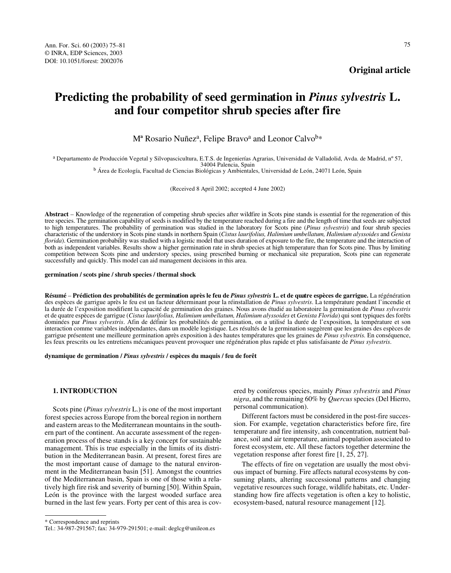# **Original article**

# **Predicting the probability of seed germination in** *Pinus sylvestris* **L. and four competitor shrub species after fire**

M<sup>a</sup> Rosario Nuñez<sup>a</sup>, Felipe Bravo<sup>a</sup> and Leonor Calvo<sup>b\*</sup>

a Departamento de Producción Vegetal y Silvopascicultura, E.T.S. de Ingenierías Agrarias, Universidad de Valladolid, Avda. de Madrid, nº 57,

<sup>b</sup> Área de Ecología, Facultad de Ciencias Biológicas y Ambientales, Universidad de León, 24071 León, Spain

(Received 8 April 2002; accepted 4 June 2002)

**Abstract** – Knowledge of the regeneration of competing shrub species after wildfire in Scots pine stands is essential for the regeneration of this tree species. The germination capability of seeds is modified by the temperature reached during a fire and the length of time that seeds are subjected to high temperatures. The probability of germination was studied in the laboratory for Scots pine (*Pinus sylvestris*) and four shrub species characteristic of the understory in Scots pine stands in northern Spain (*Cistus laurifolius, Halimium umbellatum, Halimium alyssoides* and *Genista florida*). Germination probability was studied with a logistic model that uses duration of exposure to the fire, the temperature and the interaction of both as independent variables. Results show a higher germination rate in shrub species at high temperature than for Scots pine. Thus by limiting competition between Scots pine and understory species, using prescribed burning or mechanical site preparation, Scots pine can regenerate successfully and quickly. This model can aid management decisions in this area.

**germination / scots pine / shrub species / thermal shock**

**Résumé** – **Prédiction des probabilités de germination après le feu de** *Pinus sylvestris* **L. et de quatre espèces de garrigue.** La régénération des espèces de garrigue après le feu est un facteur déterminant pour la réinstallation de *Pinus sylvestris*. La température pendant l'incendie et la durée de l'exposition modifient la capacité de germination des graines. Nous avons étudié au laboratoire la germination de *Pinus sylvestris* et de quatre espèces de garrigue (*Cistus laurifolius, Halimium umbellatum, Halimium alyssoides* et *Genista Florida*) qui sont typiques des forêts dominées par *Pinus sylvestris*. Afin de définir les probabilités de germination, on a utilisé la durée de l'exposition, la température et son interaction comme variables indépendantes, dans un modèle logistique. Les résultés de la germination suggèrent que les graines des espèces de garrigue présentent une meilleure germination après exposition à des hautes températures que les graines de *Pinus sylvestris.* En conséquence, les feux prescrits ou les entretiens mécaniques peuvent provoquer une régénération plus rapide et plus satisfaisante de *Pinus sylvestris*.

**dynamique de germination /** *Pinus sylvestris* **/ espèces du maquis / feu de forêt** 

#### **1. INTRODUCTION**

Scots pine (*Pinus sylvestris* L.) is one of the most important forest species across Europe from the boreal region in northern and eastern areas to the Mediterranean mountains in the southern part of the continent. An accurate assessment of the regeneration process of these stands is a key concept for sustainable management. This is true especially in the limits of its distribution in the Mediterranean basin. At present, forest fires are the most important cause of damage to the natural environment in the Mediterranean basin [51]. Amongst the countries of the Mediterranean basin, Spain is one of those with a relatively high fire risk and severity of burning [50]. Within Spain, León is the province with the largest wooded surface area burned in the last few years. Forty per cent of this area is cov-

ered by coniferous species, mainly *Pinus sylvestris* and *Pinus nigra*, and the remaining 60% by *Quercus* species (Del Hierro, personal communication).

Different factors must be considered in the post-fire succession. For example, vegetation characteristics before fire, fire temperature and fire intensity, ash concentration, nutrient balance, soil and air temperature, animal population associated to forest ecosystem, etc. All these factors together determine the vegetation response after forest fire [1, 25, 27].

The effects of fire on vegetation are usually the most obvious impact of burning. Fire affects natural ecosystems by consuming plants, altering successional patterns and changing vegetative resources such forage, wildlife habitats, etc. Understanding how fire affects vegetation is often a key to holistic, ecosystem-based, natural resource management [12].

<sup>\*</sup> Correspondence and reprints

Tel.: 34-987-291567; fax: 34-979-291501; e-mail: deglcg@unileon.es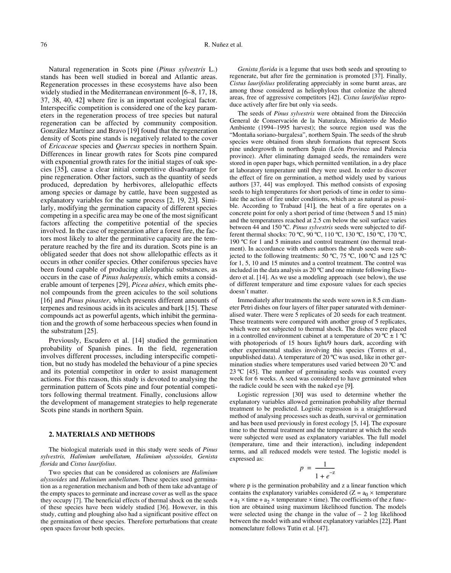Natural regeneration in Scots pine (*Pinus sylvestris* L.) stands has been well studied in boreal and Atlantic areas. Regeneration processes in these ecosystems have also been widely studied in the Mediterranean environment [6–8, 17, 18, 37, 38, 40, 42] where fire is an important ecological factor. Interspecific competition is considered one of the key parameters in the regeneration process of tree species but natural regeneration can be affected by community composition. González Martínez and Bravo [19] found that the regeneration density of Scots pine stands is negatively related to the cover of *Ericaceae* species and *Quercus* species in northern Spain. Differences in linear growth rates for Scots pine compared with exponential growth rates for the initial stages of oak species [35, cause a clear initial competitive disadvantage for pine regeneration. Other factors, such as the quantity of seeds produced, depredation by herbivores, allelopathic effects among species or damage by cattle, have been suggested as explanatory variables for the same process  $[2, 19, 23]$ . Similarly, modifying the germination capacity of different species competing in a specific area may be one of the most significant factors affecting the competitive potential of the species involved. In the case of regeneration after a forest fire, the factors most likely to alter the germinative capacity are the temperature reached by the fire and its duration. Scots pine is an obligated seeder that does not show allelopathic effects as it occurs in other conifer species. Other coniferous species have been found capable of producing allelopathic substances, as occurs in the case of *Pinus halepensis*, which emits a considerable amount of terpenes [29], *Picea abies*, which emits phenol compounds from the green acicules to the soil solutions [16] and *Pinus pinaster*, which presents different amounts of terpenes and resinous acids in its acicules and bark [15]. These compounds act as powerful agents, which inhibit the germination and the growth of some herbaceous species when found in the substratum [25].

Previously, Escudero et al. [14] studied the germination probability of Spanish pines. In the field, regeneration involves different processes, including interspecific competition, but no study has modeled the behaviour of a pine species and its potential competitor in order to assist management actions. For this reason, this study is devoted to analysing the germination pattern of Scots pine and four potential competitors following thermal treatment. Finally, conclusions allow the development of management strategies to help regenerate Scots pine stands in northern Spain.

## **2. MATERIALS AND METHODS**

The biological materials used in this study were seeds of *Pinus sylvestris, Halimium umbellatum, Halimium alyssoides, Genista florida* and *Cistus laurifolius*.

Two species that can be considered as colonisers are *Halimium alyssoides* and *Halimium umbellatum*. These species used germination as a regeneration mechanism and both of them take advantage of the empty spaces to germinate and increase cover as well as the space they occupy [7]. The beneficial effects of thermal shock on the seeds of these species have been widely studied [36]. However, in this study, cutting and ploughing also had a significant positive effect on the germination of these species. Therefore perturbations that create open spaces favour both species.

*Genista florida* is a legume that uses both seeds and sprouting to regenerate, but after fire the germination is promoted [37]. Finally, *Cistus laurifolius* proliferating appreciably in some burnt areas, are among those considered as heliophylous that colonize the altered areas, free of aggressive competitors [42]. *Cistus laurifolius* reproduce actively after fire but only via seeds.

The seeds of *Pinus sylvestris* were obtained from the Dirección General de Conservación de la Naturaleza, Ministerio de Medio Ambiente (1994–1995 harvest); the source region used was the "Montaña soriano-burgalesa", northern Spain. The seeds of the shrub species were obtained from shrub formations that represent Scots pine undergrowth in northern Spain (León Province and Palencia province). After eliminating damaged seeds, the remainders were stored in open paper bags, which permitted ventilation, in a dry place at laboratory temperature until they were used. In order to discover the effect of fire on germination, a method widely used by various authors [37, 44] was employed. This method consists of exposing seeds to high temperatures for short periods of time in order to simulate the action of fire under conditions, which are as natural as possible. According to Trabaud [41], the heat of a fire operates on a concrete point for only a short period of time (between 5 and 15 min) and the temperatures reached at 2.5 cm below the soil surface varies between 44 and 150 ºC. *Pinus sylvestris* seeds were subjected to different thermal shocks: 70 ºC, 90 ºC, 110 ºC, 130 ºC, 150 ºC, 170 ºC, 190 ºC for 1 and 5 minutes and control treatment (no thermal treatment). In accordance with others authors the shrub seeds were subjected to the following treatments: 50 ºC, 75 ºC, 100 ºC and 125 ºC for 1, 5, 10 and 15 minutes and a control treatment. The control was included in the data analysis as 20 ºC and one minute following Escudero et al. [14]. As we use a modeling approach (see below), the use of different temperature and time exposure values for each species doesn't matter.

Immediately after treatments the seeds were sown in 8.5 cm diameter Petri dishes on four layers of filter paper saturated with demineralised water. There were 5 replicates of 20 seeds for each treatment. These treatments were compared with another group of 5 replicates, which were not subjected to thermal shock. The dishes were placed in a controlled environment cabinet at a temperature of 20 °C  $\pm$  1 °C with photoperiods of 15 hours light/9 hours dark, according with other experimental studies involving this species (Torres et al., unpublished data). A temperature of 20 ºC was used, like in other germination studies where temperatures used varied between 20 ºC and 23 ºC [45]. The number of germinating seeds was counted every week for 6 weeks. A seed was considered to have germinated when the radicle could be seen with the naked eye [9].

Logistic regression [30] was used to determine whether the explanatory variables allowed germination probability after thermal treatment to be predicted. Logistic regression is a straightforward method of analysing processes such as death, survival or germination and has been used previously in forest ecology [5, 14]. The exposure time to the thermal treatment and the temperature at which the seeds were subjected were used as explanatory variables. The full model (temperature, time and their interaction), including independent terms, and all reduced models were tested. The logistic model is expressed as:

$$
p = \frac{1}{1 + e^{-z}}
$$

where p is the germination probability and z a linear function which contains the explanatory variables considered ( $Z = a_0 \times$  temperature +  $a_1 \times$  time +  $a_2 \times$  temperature  $\times$  time). The coefficients of the z function are obtained using maximum likelihood function. The models were selected using the change in the value of  $-2$  log likelihood between the model with and without explanatory variables [22]. Plant nomenclature follows Tutin et al. [47].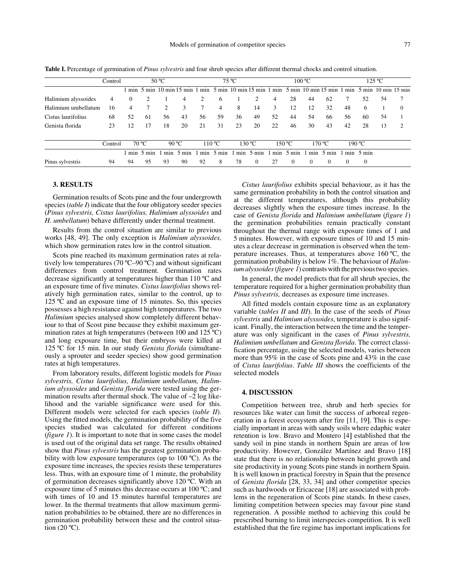|                     | Control |    | 50 °C          |                  |                                                                                   | $75^{\circ}$ C   |        |     | 100 °C       |                  |          | $125 \text{ °C}$ |                 |                  |          |                               |          |
|---------------------|---------|----|----------------|------------------|-----------------------------------------------------------------------------------|------------------|--------|-----|--------------|------------------|----------|------------------|-----------------|------------------|----------|-------------------------------|----------|
|                     |         |    |                |                  | min 5 min 10 min 15 min 1 min 5 min 10 min 15 min 1 min 5 min 10 min 15 min 1 min |                  |        |     |              |                  |          |                  |                 |                  |          | $5 \text{ min}$ 10 min 15 min |          |
| Halimium alyssoides | 4       | 0  |                |                  | 4                                                                                 | 2                | 6      |     |              | 4                | 28       | 44               | 62              |                  | 52       | 54                            | 7        |
| Halimium umbellatum | 16      | 4  |                | 2                | 3                                                                                 |                  | 4      | 8   | 14           | 3                | 12       | 12               | 32              | 48               | 6        |                               | $\Omega$ |
| Cistus laurifolius  | 68      | 52 | -61            | 56               | 43                                                                                | 56               | 59     | 36  | 49           | 52               | 44       | 54               | 66              | 56               | 60       | 54                            |          |
| Genista florida     | 23      | 12 |                | 18               | 20                                                                                | 21               | 31     | 23  | 20           | 22               | 46       | 30               | 43              | 42               | 28       | 13                            | 2        |
|                     | Control |    | $70^{\circ}$ C |                  | 90 °C                                                                             |                  | 110 °C |     | 130 °C       |                  | 150 °C   |                  | 170 °C          |                  | 190 °C   |                               |          |
|                     |         |    | min 5 min      | m <sub>1</sub> n | $5 \text{ min}$                                                                   | m <sub>1</sub> n | 5 min  | min | 5 min        | m <sub>1</sub> n | 5 min    | m <sub>1</sub> n | $5 \text{ min}$ | m <sub>1</sub> n | 5 min    |                               |          |
| Pinus sylvestris    | 94      | 94 | 95             | 93               | 90                                                                                | 92               | 8      | 78  | $\mathbf{0}$ |                  | $\Omega$ | $\overline{0}$   | $\Omega$        | $\Omega$         | $\Omega$ |                               |          |

Table I. Percentage of germination of *Pinus sylvestris* and four shrub species after different thermal chocks and control situation.

#### **3. RESULTS**

Germination results of Scots pine and the four undergrowth species (*table I*) indicate that the four obligatory seeder species (*Pinus sylvestris, Cistus laurifolius, Halimium alyssoides* and *H. umbellatum*) behave differently under thermal treatment.

Results from the control situation are similar to previous works [48, 49]. The only exception is *Halimium alyssoides,* which show germination rates low in the control situation.

Scots pine reached its maximum germination rates at relatively low temperatures (70 ºC–90 ºC) and without significant differences from control treatment. Germination rates decrease significantly at temperatures higher than 110 ºC and an exposure time of five minutes. *Cistus laurifolius* shows relatively high germination rates, similar to the control, up to 125 ºC and an exposure time of 15 minutes. So, this species possesses a high resistance against high temperatures. The two *Halimium* species analysed show completely different behaviour to that of Scost pine because they exhibit maximum germination rates at high temperatures (between 100 and 125 ºC) and long exposure time, but their embryos were killed at 125 ºC for 15 min. In our study *Genista florida* (simultaneously a sprouter and seeder species) show good germination rates at high temperatures.

From laboratory results, different logistic models for *Pinus sylvestris, Cistus laurifolius, Halimium umbellatum, Halimium alyssoides* and *Genista florida* were tested using the germination results after thermal shock. The value of  $-2$  log likelihood and the variable significance were used for this. Different models were selected for each species (*table II*). Using the fitted models, the germination probability of the five species studied was calculated for different conditions (*figure 1*). It is important to note that in some cases the model is used out of the original data set range. The results obtained show that *Pinus sylvestris* has the greatest germination probability with low exposure temperatures (up to 100 °C). As the exposure time increases, the species resists these temperatures less. Thus, with an exposure time of 1 minute, the probability of germination decreases significantly above 120 ºC. With an exposure time of 5 minutes this decrease occurs at 100 ºC; and with times of 10 and 15 minutes harmful temperatures are lower. In the thermal treatments that allow maximum germination probabilities to be obtained, there are no differences in germination probability between these and the control situation  $(20 °C)$ .

*Cistus laurifolius* exhibits special behaviour, as it has the same germination probability in both the control situation and at the different temperatures, although this probability decreases slightly when the exposure times increase. In the case of *Genista florida* and *Halimium umbellatum* (*figure 1*) the germination probabilities remain practically constant throughout the thermal range with exposure times of 1 and 5 minutes. However, with exposure times of 10 and 15 minutes a clear decrease in germination is observed when the temperature increases. Thus, at temperatures above 160 ºC, the germination probability is below 1%. The behaviour of *Halimium alyssoides* (*figure 1*) contrasts with the previous two species.

In general, the model predicts that for all shrub species, the temperature required for a higher germination probability than *Pinus sylvestris,* decreases as exposure time increases.

All fitted models contain exposure time as an explanatory variable (*tables II* and *III*). In the case of the seeds of *Pinus sylvestris* and *Halimium alyssoides*, temperature is also significant. Finally, the interaction between the time and the temperature was only significant in the cases of *Pinus sylvestris, Halimium umbellatum* and *Genista florida*. The correct classification percentage, using the selected models, varies between more than 95% in the case of Scots pine and 43% in the case of *Cistus laurifolius*. *Table III* shows the coefficients of the selected models

# **4. DISCUSSION**

Competition between tree, shrub and herb species for resources like water can limit the success of arboreal regeneration in a forest ecosystem after fire [11, 19]. This is especially important in areas with sandy soils where edaphic water retention is low. Bravo and Montero [4] established that the sandy soil in pine stands in northern Spain are areas of low productivity. However, González Martínez and Bravo [18 state that there is no relationship between height growth and site productivity in young Scots pine stands in northern Spain. It is well known in practical forestry in Spain that the presence of *Genista florida* [28, 33, 34] and other competitor species such as hardwoods or Ericaceae [18] are associated with problems in the regeneration of Scots pine stands. In these cases, limiting competition between species may favour pine stand regeneration. A possible method to achieving this could be prescribed burning to limit interspecies competition. It is well established that the fire regime has important implications for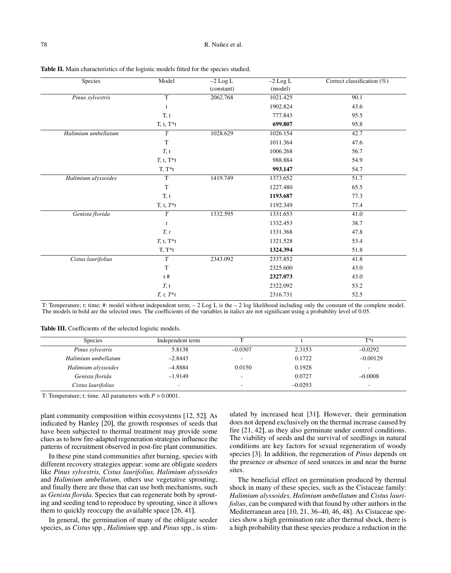| Species             | Model          | $-2$ Log L | $-2$ Log L | Correct classification (%) |
|---------------------|----------------|------------|------------|----------------------------|
|                     |                | (constant) | (model)    |                            |
| Pinus sylvestris    | $\overline{T}$ | 2062.768   | 1021.425   | 90.1                       |
|                     | t              |            | 1902.824   | 43.6                       |
|                     | T, t           |            | 777.843    | 95.5                       |
|                     | $T, t, T^*t$   |            | 699.807    | 95.8                       |
| Halimium umbellatum | T              | 1028.629   | 1026.154   | 42.7                       |
|                     | $\mathbf T$    |            | 1011.364   | 47.6                       |
|                     | T, t           |            | 1006.268   | 56.7                       |
|                     | $T, t, T^*t$   |            | 988.884    | 54.9                       |
|                     | $T, T^*t$      |            | 993.147    | 54.7                       |
| Halimium alyssoides | $\overline{T}$ | 1419.749   | 1373.652   | 51.7                       |
|                     | $\mathbf T$    |            | 1227.480   | 65.5                       |
|                     | T, t           |            | 1193.687   | 77.3                       |
|                     | T, t, $T^*t$   |            | 1192.349   | 77.4                       |
| Genista florida     | $\cal T$       | 1332.595   | 1331.653   | 41.0                       |
|                     | $\mathfrak{t}$ |            | 1332.453   | 38.7                       |
|                     | T, t           |            | 1331.368   | 47.8                       |
|                     | $T, t, T^*t$   |            | 1321.528   | 53.4                       |
|                     | $T, T^*t$      |            | 1324.394   | 51.8                       |
| Cistus laurifolius  | $\overline{T}$ | 2343.092   | 2337.852   | 41.8                       |
|                     | $\mathbf T$    |            | 2325.600   | 43.0                       |
|                     | t#             |            | 2327.073   | 43.0                       |
|                     | T, t           |            | 2322.092   | 53.2                       |
|                     | $T, t, T^*t$   |            | 2316.731   | 52.5                       |

**Table II.** Main characteristics of the logistic models fitted for the species studied.

T: Temperature; t: time; #: model without independent term;  $-2 \text{ Log } L$  is the  $-2 \text{ log } L$  likelihood including only the constant of the complete model. The models in bold are the selected ones. The coefficients of the variables in italics are not significant using a probability level of 0.05.

Table III. Coefficients of the selected logistic models.

| <b>Species</b>      | Independent term |           |           | $T^*t$                   |
|---------------------|------------------|-----------|-----------|--------------------------|
| Pinus sylvestris    | 5.8138           | $-0.0307$ | 2.3153    | $-0.0292$                |
| Halimium umbellatum | $-2.8443$        |           | 0.1722    | $-0.00129$               |
| Halimium alyssoides | $-4.8884$        | 0.0150    | 0.1928    | $\overline{\phantom{a}}$ |
| Genista florida     | $-1.9149$        |           | 0.0727    | $-0.0008$                |
| Cistus laurifolius  | -                |           | $-0.0293$ | -                        |

T: Temperature; t: time. All parameters with *P* > 0.0001.

plant community composition within ecosystems [12, 52]. As indicated by Hanley [20], the growth responses of seeds that have been subjected to thermal treatment may provide some clues as to how fire-adapted regeneration strategies influence the patterns of recruitment observed in post-fire plant communities.

In these pine stand communities after burning, species with different recovery strategies appear: some are obligate seeders like *Pinus sylvestris, Cistus laurifolius, Halimium alyssoides* and *Halimium umbellatum*, others use vegetative sprouting, and finally there are those that can use both mechanisms, such as *Genista florida*. Species that can regenerate both by sprouting and seeding tend to reproduce by sprouting, since it allows them to quickly reoccupy the available space [26, 41].

In general, the germination of many of the obligate seeder species, as *Cistus* spp., *Halimium* spp. and *Pinus* spp., is stimulated by increased heat [31. However, their germination does not depend exclusively on the thermal increase caused by fire [21, 42], as they also germinate under control conditions. The viability of seeds and the survival of seedlings in natural conditions are key factors for sexual regeneration of woody species [3]. In addition, the regeneration of *Pinus* depends on the presence or absence of seed sources in and near the burne sites.

The beneficial effect on germination produced by thermal shock in many of these species, such as the Cistaceae family: *Halimium alyssoides, Halimium umbellatum* and *Cistus laurifolius*, can be compared with that found by other authors in the Mediterranean area [10, 21, 36–40, 46, 48]. As Cistaceae species show a high germination rate after thermal shock, there is a high probability that these species produce a reduction in the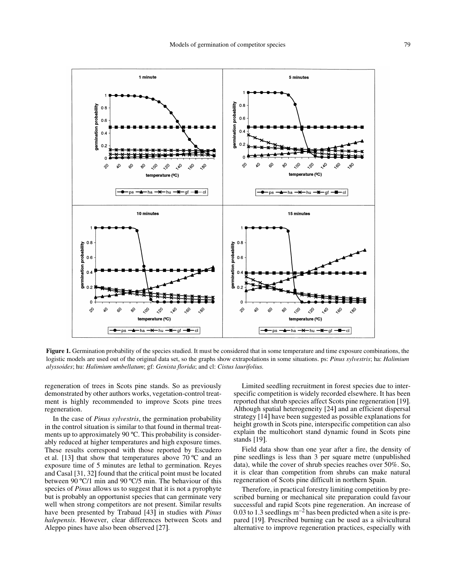

**Figure 1.** Germination probability of the species studied. It must be considered that in some temperature and time exposure combinations, the logistic models are used out of the original data set, so the graphs show extrapolations in some situations. ps: *Pinus sylvestris*; ha: *Halimium alyssoides*; hu: *Halimium umbellatum*; gf: *Genista florida*; and cl: *Cistus laurifolius.*

regeneration of trees in Scots pine stands. So as previously demonstrated by other authors works, vegetation-control treatment is highly recommended to improve Scots pine trees regeneration.

In the case of *Pinus sylvestris*, the germination probability in the control situation is similar to that found in thermal treatments up to approximately 90 ºC. This probability is considerably reduced at higher temperatures and high exposure times. These results correspond with those reported by Escudero et al. [13] that show that temperatures above  $70^{\circ}$ C and an exposure time of 5 minutes are lethal to germination. Reyes and Casal [31, 32] found that the critical point must be located between 90 ºC/1 min and 90 ºC/5 min. The behaviour of this species of *Pinus* allows us to suggest that it is not a pyrophyte but is probably an opportunist species that can germinate very well when strong competitors are not present. Similar results have been presented by Trabaud [43] in studies with *Pinus halepensis*. However, clear differences between Scots and Aleppo pines have also been observed [27.

Limited seedling recruitment in forest species due to interspecific competition is widely recorded elsewhere. It has been reported that shrub species affect Scots pine regeneration [19. Although spatial heterogeneity [24] and an efficient dispersal strategy [14] have been suggested as possible explanations for height growth in Scots pine, interspecific competition can also explain the multicohort stand dynamic found in Scots pine stands [19].

Field data show than one year after a fire, the density of pine seedlings is less than 3 per square metre (unpublished data), while the cover of shrub species reaches over 50%. So, it is clear than competition from shrubs can make natural regeneration of Scots pine difficult in northern Spain.

Therefore, in practical forestry limiting competition by prescribed burning or mechanical site preparation could favour successful and rapid Scots pine regeneration. An increase of  $0.03$  to 1.3 seedlings  $m^{-2}$  has been predicted when a site is prepared [19]. Prescribed burning can be used as a silvicultural alternative to improve regeneration practices, especially with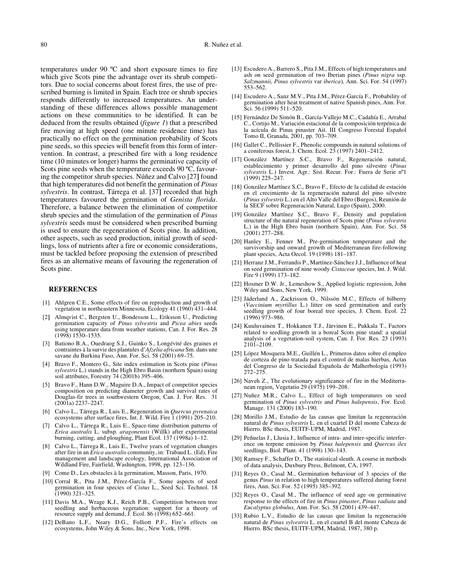temperatures under 90 ºC and short exposure times to fire which give Scots pine the advantage over its shrub competitors. Due to social concerns about forest fires, the use of prescribed burning is limited in Spain. Each tree or shrub species responds differently to increased temperatures. An understanding of these differences allows possible management actions on these communities to be identified. It can be deduced from the results obtained (*figure 1*) that a prescribed fire moving at high speed (one minute residence time) has practically no effect on the germination probability of Scots pine seeds, so this species will benefit from this form of intervention. In contrast, a prescribed fire with a long residence time (10 minutes or longer) harms the germinative capacity of Scots pine seeds when the temperature exceeds 90 °C, favouring the competitor shrub species. Núñez and Calvo [27] found that high temperatures did not benefit the germination of *Pinus sylvestris*. In contrast, Tárrega et al. [37] recorded that high temperatures favoured the germination of *Genista florida*. Therefore, a balance between the elimination of competitor shrub species and the stimulation of the germination of *Pinus sylvestris* seeds must be considered when prescribed burning is used to ensure the regeneration of Scots pine. In addition, other aspects, such as seed production, initial growth of seedlings, loss of nutrients after a fire or economic considerations, must be tackled before proposing the extension of prescribed fires as an alternative means of favouring the regeneration of Scots pine.

### **REFERENCES**

- [1] Ahlgren C.E., Some effects of fire on reproduction and growth of vegetation in northeastern Minnesota, Ecology 41 (1960) 431–444.
- [2] Almqvist C., Bergsten U., Bondesson L., Eriksson U., Predicting germination capacity of *Pinus sylvestris* and *Picea abies* seeds using temperature data from weather stations, Can. J. For. Res. 28 (1998) 1530–1535.
- [3] Bationo B.A., Ouedraog S.J., Guinko S., Longévité des graines et contraintes à la survie des plantules d'*Afzelia africana* Sm. dans une savane du Burkina Faso, Ann. For. Sci. 58 (2001) 69–75.
- [4] Bravo F., Montero G., Site index estimation in Scots pine (*Pinus sylvestris* L.) stands in the High Ebro Basin (northern Spain) using soil attributes, Forestry 74 (2001b) 395-406.
- [5] Bravo F., Hann D.W., Maguire D.A., Impact of competitor species composition on predicting diameter growth and survival rates of Douglas-fir trees in southwestern Oregon, Can. J. For. Res. 31 (2001a) 2237–2247.
- [6] Calvo L., Tárrega R., Luis E., Regeneration in *Quercus pyrenaica* ecosystems after surface fires, Int. J. Wild. Fire 1 (1991) 205–210.
- [7] Calvo L., Tárrega R., Luis E., Space-time distribution patterns of *Erica australis* L. subsp. *aragonensis* (Willk) after experimental burning, cutting, and ploughing, Plant Ecol. 137 (1998a) 1–12.
- [8] Calvo L., Tárrega R., Luis E., Twelve years of vegetation changes after fire in an *Erica australis* community, in: Trabaud L. (Ed), Fire management and landscape ecology, International Association of Wildland Fire, Fairfield, Washington, 1998, pp. 123–136.
- [9] Come D., Les obstacles à la germination, Masson, Paris, 1970.
- [10] Corral R., Pita J.M., Pérez-García F., Some aspects of seed germination in four species of *Cistus* L., Seed Sci. Technol. 18 (1990) 321–325.
- [11] Davis M.A., Wrage K.J., Reich P.B., Competition between tree seedling and herbaceous vegetation: support for a theory of resource supply and demand, J. Ecol. 86 (1998) 652–661.
- [12] DeBano L.F., Neary D.G., Folliott P.F., Fire's effects on ecosystems, John Wiley & Sons, Inc., New York, 1998.
- [13] Escudero A., Barrero S., Pita J.M., Effects of high temperatures and ash on seed germination of two Iberian pines (*Pinus nigra* ssp. *Salzmannii, Pinus sylvestris* var *iberica*)*,* Ann. Sci. For. 54 (1997) 553–562.
- [14] Escudero A., Sanz M.V., Pita J.M., Pérez-García F., Probability of germination after heat treatment of native Spanish pines, Ann. For. Sci. 56 (1999) 511–520.
- [15] Fernández De Simón B., García-Vallejo M.C., Cadahía E., Arrabal C., Cortijo M., Variación estacional de la composición terpénica de la acícula de Pinus pinaster Ait. III Congreso Forestal Español Tomo II, Granada, 2001, pp. 703-709.
- [16] Gallet C., Pellissier F., Phenolic compounds in natural solutions of a coniferous forest, J. Chem. Ecol. 23 (1997) 2401–2412.
- [17] González Martínez S.C., Bravo F., Regeneración natural, establecimiento y primer desarrollo del pino silvestre (*Pinus sylvestris* L.) Invest. Agr.: Sist. Recur. For.: Fuera de Serie nº1  $(1999)$  225–247.
- [18] González Martínez S.C., Bravo F., Efecto de la calidad de estación en el crecimiento de la regeneración natural del pino silvestre (*Pinus sylvestris* L.) en el Alto Valle del Ebro (Burgos), Reunión de la SECF sobre Regeneración Natural, Lugo (Spain), 2000.
- [19] González Martínez S.C., Bravo F., Density and population structure of the natural regeneration of Scots pine (*Pinus sylvestris* L.) in the High Ebro basin (northern Spain), Ann. For. Sci. 58 (2001) 277–288.
- [20] Hanley E., Fenner M., Pre-germination temperature and the survivorship and onward growth of Mediterranean fire-following plant species, Acta Oecol. 19 (1998) 181–187.
- [21] Herranz J.M., Ferrandis P., Martínez-Sánchez J.J., Influence of heat on seed germination of nine woody *Cistaceae* species, Int. J. Wild. Fire 9 (1999) 173–182.
- [22] Hosmer D.W. Jr., Lemeshow S., Applied logistic regression, John Wiley and Sons, New York, 1999.
- [23] Jäderlund A., Zackrisson O., Nilssön M.C., Effects of bilberry (*Vaccinium myrtillus* L.) litter on seed germination and early seedling growth of four boreal tree species, J. Chem. Ecol. 22 (1996) 973–986.
- [24] Kuuluvainen T., Hokkanen T.J., Järvinen E., Pukkala T., Factors related to seedling growth in a boreal Scots pine stand: a spatial analysis of a vegetation-soil system, Can. J. For. Res. 23 (1993) 2101–2109.
- [25] López Mosquera M.E., Guillén L., Primeros datos sobre el empleo de corteza de pino tratada para el control de malas hierbas, Actas del Congreso de la Sociedad Española de Malherbología (1993) 272–275.
- [26] Naveh Z., The evolutionary significance of fire in the Mediterranean region, Vegetatio 29 (1975) 199–208.
- [27] Nuñez M.R., Calvo L., Effect of high temperatures on seed germination of *Pinus sylvestris* and *Pinus halepensis*, For. Ecol. Manage. 131 (2000) 183–190.
- [28] Morillo J.M., Estudio de las causas que limitan la regeneración natural de *Pinus sylvestris* L. en el cuartel D del monte Cabeza de Hierro. BSc thesis, EUITF-UPM, Madrid, 1987.
- [29] Peñuelas J., Llusia J., Influence of intra- and inter-specific interference on terpene emission by *Pinus halepensis* and *Quercus ilex* seedlings, Biol. Plant. 41 (1998) 130–143.
- [30] Ramsey F., Schaffer D., The statistical sleuth. A course in methods of data analysis, Duxbury Press, Belmont, CA, 1997.
- [31] Reyes O., Casal M., Germination behaviour of 3 species of the genus *Pinus* in relation to high temperatures suffered during forest fires, Ann. Sci. For. 52 (1995) 385–392.
- [32] Reyes O., Casal M., The influence of seed age on germinative response to the effects of fire in *Pinus pinaster*, *Pinus radiata* and *Eucalyptus globulus*, Ann. For. Sci. 58 (2001) 439–447.
- [33] Rubio L.V., Estudio de las causas que limitan la regeneración natural de *Pinus sylvestris* L. en el cuartel B del monte Cabeza de Hierro. BSc thesis, EUITF-UPM, Madrid, 1987, 380 p.